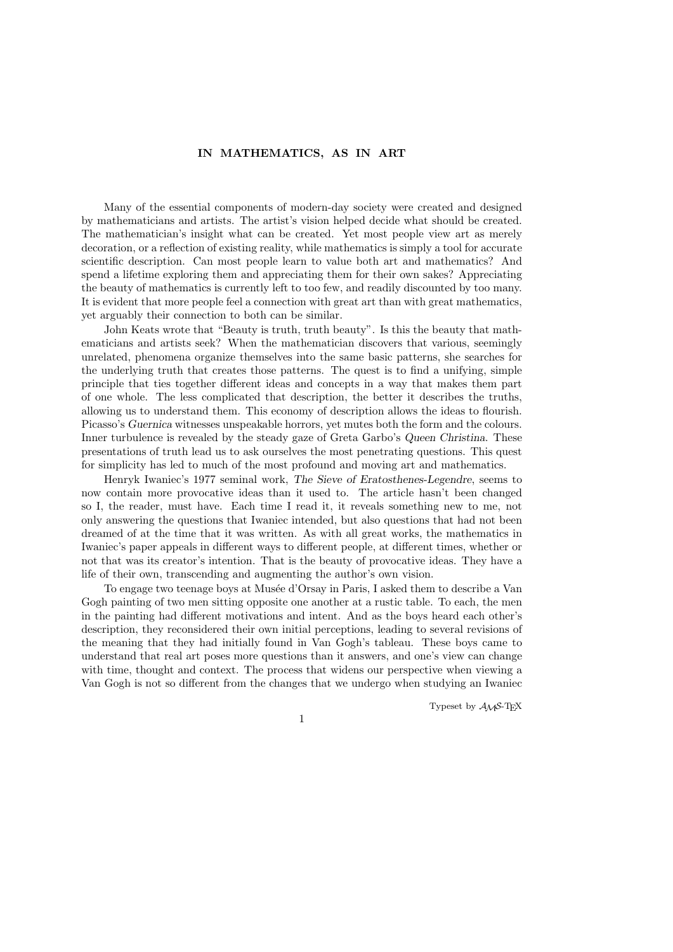## IN MATHEMATICS, AS IN ART

Many of the essential components of modern-day society were created and designed by mathematicians and artists. The artist's vision helped decide what should be created. The mathematician's insight what can be created. Yet most people view art as merely decoration, or a reflection of existing reality, while mathematics is simply a tool for accurate scientific description. Can most people learn to value both art and mathematics? And spend a lifetime exploring them and appreciating them for their own sakes? Appreciating the beauty of mathematics is currently left to too few, and readily discounted by too many. It is evident that more people feel a connection with great art than with great mathematics, yet arguably their connection to both can be similar.

John Keats wrote that "Beauty is truth, truth beauty". Is this the beauty that mathematicians and artists seek? When the mathematician discovers that various, seemingly unrelated, phenomena organize themselves into the same basic patterns, she searches for the underlying truth that creates those patterns. The quest is to find a unifying, simple principle that ties together different ideas and concepts in a way that makes them part of one whole. The less complicated that description, the better it describes the truths, allowing us to understand them. This economy of description allows the ideas to flourish. Picasso's Guernica witnesses unspeakable horrors, yet mutes both the form and the colours. Inner turbulence is revealed by the steady gaze of Greta Garbo's Queen Christina. These presentations of truth lead us to ask ourselves the most penetrating questions. This quest for simplicity has led to much of the most profound and moving art and mathematics.

Henryk Iwaniec's 1977 seminal work, The Sieve of Eratosthenes-Legendre, seems to now contain more provocative ideas than it used to. The article hasn't been changed so I, the reader, must have. Each time I read it, it reveals something new to me, not only answering the questions that Iwaniec intended, but also questions that had not been dreamed of at the time that it was written. As with all great works, the mathematics in Iwaniec's paper appeals in different ways to different people, at different times, whether or not that was its creator's intention. That is the beauty of provocative ideas. They have a life of their own, transcending and augmenting the author's own vision.

To engage two teenage boys at Musée d'Orsay in Paris, I asked them to describe a Van Gogh painting of two men sitting opposite one another at a rustic table. To each, the men in the painting had different motivations and intent. And as the boys heard each other's description, they reconsidered their own initial perceptions, leading to several revisions of the meaning that they had initially found in Van Gogh's tableau. These boys came to understand that real art poses more questions than it answers, and one's view can change with time, thought and context. The process that widens our perspective when viewing a Van Gogh is not so different from the changes that we undergo when studying an Iwaniec

Typeset by  $A_{\mathcal{M}}S$ -TEX

1